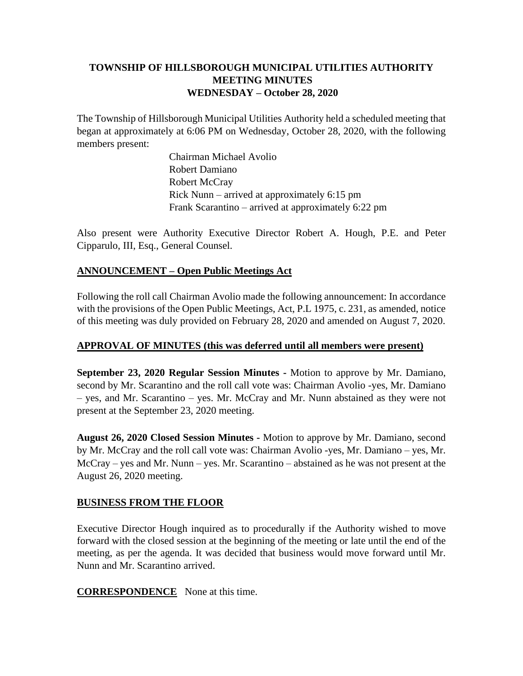# **TOWNSHIP OF HILLSBOROUGH MUNICIPAL UTILITIES AUTHORITY MEETING MINUTES WEDNESDAY – October 28, 2020**

The Township of Hillsborough Municipal Utilities Authority held a scheduled meeting that began at approximately at 6:06 PM on Wednesday, October 28, 2020, with the following members present:

> Chairman Michael Avolio Robert Damiano Robert McCray Rick Nunn – arrived at approximately 6:15 pm Frank Scarantino – arrived at approximately 6:22 pm

Also present were Authority Executive Director Robert A. Hough, P.E. and Peter Cipparulo, III, Esq., General Counsel.

### **ANNOUNCEMENT – Open Public Meetings Act**

Following the roll call Chairman Avolio made the following announcement: In accordance with the provisions of the Open Public Meetings, Act, P.L 1975, c. 231, as amended, notice of this meeting was duly provided on February 28, 2020 and amended on August 7, 2020.

### **APPROVAL OF MINUTES (this was deferred until all members were present)**

**September 23, 2020 Regular Session Minutes -** Motion to approve by Mr. Damiano, second by Mr. Scarantino and the roll call vote was: Chairman Avolio -yes, Mr. Damiano – yes, and Mr. Scarantino – yes. Mr. McCray and Mr. Nunn abstained as they were not present at the September 23, 2020 meeting.

**August 26, 2020 Closed Session Minutes -** Motion to approve by Mr. Damiano, second by Mr. McCray and the roll call vote was: Chairman Avolio -yes, Mr. Damiano – yes, Mr. McCray – yes and Mr. Nunn – yes. Mr. Scarantino – abstained as he was not present at the August 26, 2020 meeting.

### **BUSINESS FROM THE FLOOR**

Executive Director Hough inquired as to procedurally if the Authority wished to move forward with the closed session at the beginning of the meeting or late until the end of the meeting, as per the agenda. It was decided that business would move forward until Mr. Nunn and Mr. Scarantino arrived.

**CORRESPONDENCE** None at this time.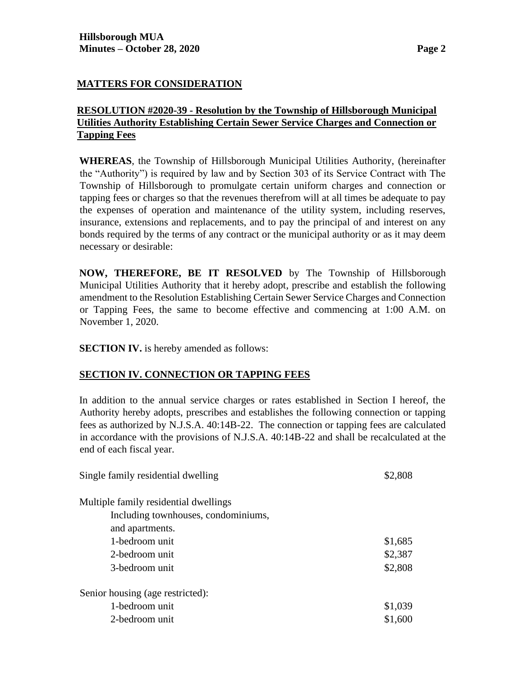#### **MATTERS FOR CONSIDERATION**

### **RESOLUTION #2020-39 - Resolution by the Township of Hillsborough Municipal Utilities Authority Establishing Certain Sewer Service Charges and Connection or Tapping Fees**

**WHEREAS**, the Township of Hillsborough Municipal Utilities Authority, (hereinafter the "Authority") is required by law and by Section 303 of its Service Contract with The Township of Hillsborough to promulgate certain uniform charges and connection or tapping fees or charges so that the revenues therefrom will at all times be adequate to pay the expenses of operation and maintenance of the utility system, including reserves, insurance, extensions and replacements, and to pay the principal of and interest on any bonds required by the terms of any contract or the municipal authority or as it may deem necessary or desirable:

**NOW, THEREFORE, BE IT RESOLVED** by The Township of Hillsborough Municipal Utilities Authority that it hereby adopt, prescribe and establish the following amendment to the Resolution Establishing Certain Sewer Service Charges and Connection or Tapping Fees, the same to become effective and commencing at 1:00 A.M. on November 1, 2020.

**SECTION IV.** is hereby amended as follows:

#### **SECTION IV. CONNECTION OR TAPPING FEES**

In addition to the annual service charges or rates established in Section I hereof, the Authority hereby adopts, prescribes and establishes the following connection or tapping fees as authorized by N.J.S.A. 40:14B-22. The connection or tapping fees are calculated in accordance with the provisions of N.J.S.A. 40:14B-22 and shall be recalculated at the end of each fiscal year.

| Single family residential dwelling    | \$2,808 |
|---------------------------------------|---------|
| Multiple family residential dwellings |         |
| Including townhouses, condominiums,   |         |
| and apartments.                       |         |
| 1-bedroom unit                        | \$1,685 |
| 2-bedroom unit                        | \$2,387 |
| 3-bedroom unit                        | \$2,808 |
| Senior housing (age restricted):      |         |
| 1-bedroom unit                        | \$1,039 |
| 2-bedroom unit                        | \$1,600 |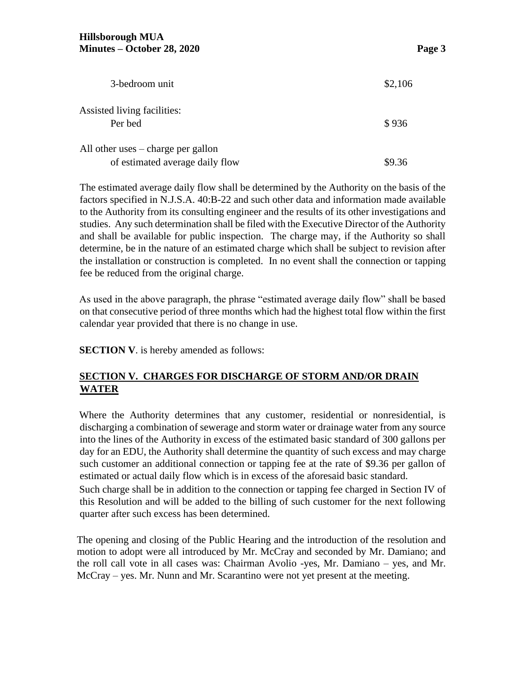| 3-bedroom unit                                                          | \$2,106 |
|-------------------------------------------------------------------------|---------|
| Assisted living facilities:<br>Per bed                                  | \$936   |
| All other uses $-$ charge per gallon<br>of estimated average daily flow | \$9.36  |

The estimated average daily flow shall be determined by the Authority on the basis of the factors specified in N.J.S.A. 40:B-22 and such other data and information made available to the Authority from its consulting engineer and the results of its other investigations and studies. Any such determination shall be filed with the Executive Director of the Authority and shall be available for public inspection. The charge may, if the Authority so shall determine, be in the nature of an estimated charge which shall be subject to revision after the installation or construction is completed. In no event shall the connection or tapping fee be reduced from the original charge.

As used in the above paragraph, the phrase "estimated average daily flow" shall be based on that consecutive period of three months which had the highest total flow within the first calendar year provided that there is no change in use.

**SECTION V**. is hereby amended as follows:

# **SECTION V. CHARGES FOR DISCHARGE OF STORM AND/OR DRAIN WATER**

Where the Authority determines that any customer, residential or nonresidential, is discharging a combination of sewerage and storm water or drainage water from any source into the lines of the Authority in excess of the estimated basic standard of 300 gallons per day for an EDU, the Authority shall determine the quantity of such excess and may charge such customer an additional connection or tapping fee at the rate of \$9.36 per gallon of estimated or actual daily flow which is in excess of the aforesaid basic standard.

Such charge shall be in addition to the connection or tapping fee charged in Section IV of this Resolution and will be added to the billing of such customer for the next following quarter after such excess has been determined.

The opening and closing of the Public Hearing and the introduction of the resolution and motion to adopt were all introduced by Mr. McCray and seconded by Mr. Damiano; and the roll call vote in all cases was: Chairman Avolio -yes, Mr. Damiano – yes, and Mr. McCray – yes. Mr. Nunn and Mr. Scarantino were not yet present at the meeting.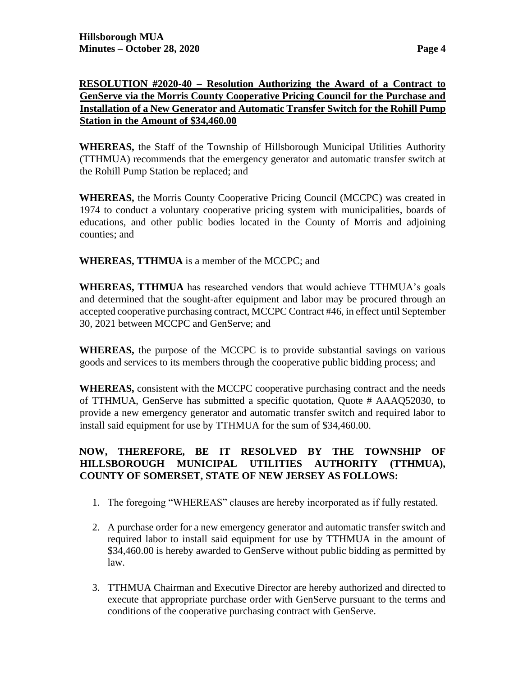### **RESOLUTION #2020-40 – Resolution Authorizing the Award of a Contract to GenServe via the Morris County Cooperative Pricing Council for the Purchase and Installation of a New Generator and Automatic Transfer Switch for the Rohill Pump Station in the Amount of \$34,460.00**

**WHEREAS,** the Staff of the Township of Hillsborough Municipal Utilities Authority (TTHMUA) recommends that the emergency generator and automatic transfer switch at the Rohill Pump Station be replaced; and

**WHEREAS,** the Morris County Cooperative Pricing Council (MCCPC) was created in 1974 to conduct a voluntary cooperative pricing system with municipalities, boards of educations, and other public bodies located in the County of Morris and adjoining counties; and

**WHEREAS, TTHMUA** is a member of the MCCPC; and

**WHEREAS, TTHMUA** has researched vendors that would achieve TTHMUA's goals and determined that the sought-after equipment and labor may be procured through an accepted cooperative purchasing contract, MCCPC Contract #46, in effect until September 30, 2021 between MCCPC and GenServe; and

**WHEREAS,** the purpose of the MCCPC is to provide substantial savings on various goods and services to its members through the cooperative public bidding process; and

**WHEREAS,** consistent with the MCCPC cooperative purchasing contract and the needs of TTHMUA, GenServe has submitted a specific quotation, Quote # AAAQ52030, to provide a new emergency generator and automatic transfer switch and required labor to install said equipment for use by TTHMUA for the sum of \$34,460.00.

# **NOW, THEREFORE, BE IT RESOLVED BY THE TOWNSHIP OF HILLSBOROUGH MUNICIPAL UTILITIES AUTHORITY (TTHMUA), COUNTY OF SOMERSET, STATE OF NEW JERSEY AS FOLLOWS:**

- 1. The foregoing "WHEREAS" clauses are hereby incorporated as if fully restated.
- 2. A purchase order for a new emergency generator and automatic transfer switch and required labor to install said equipment for use by TTHMUA in the amount of \$34,460.00 is hereby awarded to GenServe without public bidding as permitted by law.
- 3. TTHMUA Chairman and Executive Director are hereby authorized and directed to execute that appropriate purchase order with GenServe pursuant to the terms and conditions of the cooperative purchasing contract with GenServe.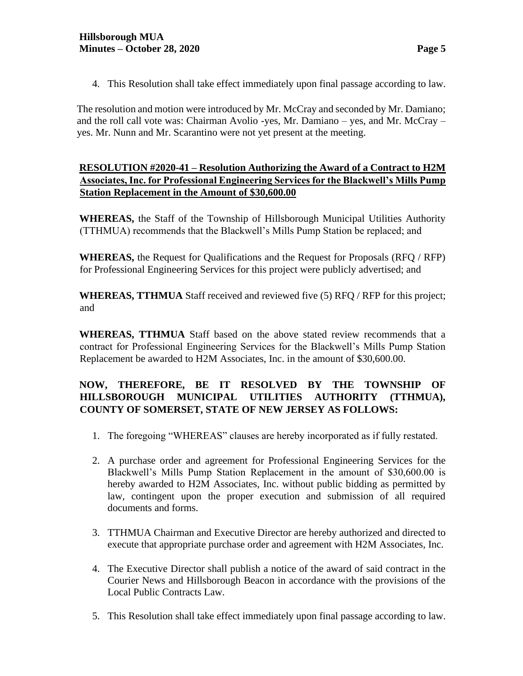- 
- 4. This Resolution shall take effect immediately upon final passage according to law.

The resolution and motion were introduced by Mr. McCray and seconded by Mr. Damiano; and the roll call vote was: Chairman Avolio -yes, Mr. Damiano – yes, and Mr. McCray – yes. Mr. Nunn and Mr. Scarantino were not yet present at the meeting.

### **RESOLUTION #2020-41 – Resolution Authorizing the Award of a Contract to H2M Associates, Inc. for Professional Engineering Services for the Blackwell's Mills Pump Station Replacement in the Amount of \$30,600.00**

**WHEREAS,** the Staff of the Township of Hillsborough Municipal Utilities Authority (TTHMUA) recommends that the Blackwell's Mills Pump Station be replaced; and

**WHEREAS,** the Request for Qualifications and the Request for Proposals (RFQ / RFP) for Professional Engineering Services for this project were publicly advertised; and

**WHEREAS, TTHMUA** Staff received and reviewed five (5) RFQ / RFP for this project; and

**WHEREAS, TTHMUA** Staff based on the above stated review recommends that a contract for Professional Engineering Services for the Blackwell's Mills Pump Station Replacement be awarded to H2M Associates, Inc. in the amount of \$30,600.00.

# **NOW, THEREFORE, BE IT RESOLVED BY THE TOWNSHIP OF HILLSBOROUGH MUNICIPAL UTILITIES AUTHORITY (TTHMUA), COUNTY OF SOMERSET, STATE OF NEW JERSEY AS FOLLOWS:**

- 1. The foregoing "WHEREAS" clauses are hereby incorporated as if fully restated.
- 2. A purchase order and agreement for Professional Engineering Services for the Blackwell's Mills Pump Station Replacement in the amount of \$30,600.00 is hereby awarded to H2M Associates, Inc. without public bidding as permitted by law, contingent upon the proper execution and submission of all required documents and forms.
- 3. TTHMUA Chairman and Executive Director are hereby authorized and directed to execute that appropriate purchase order and agreement with H2M Associates, Inc.
- 4. The Executive Director shall publish a notice of the award of said contract in the Courier News and Hillsborough Beacon in accordance with the provisions of the Local Public Contracts Law.
- 5. This Resolution shall take effect immediately upon final passage according to law.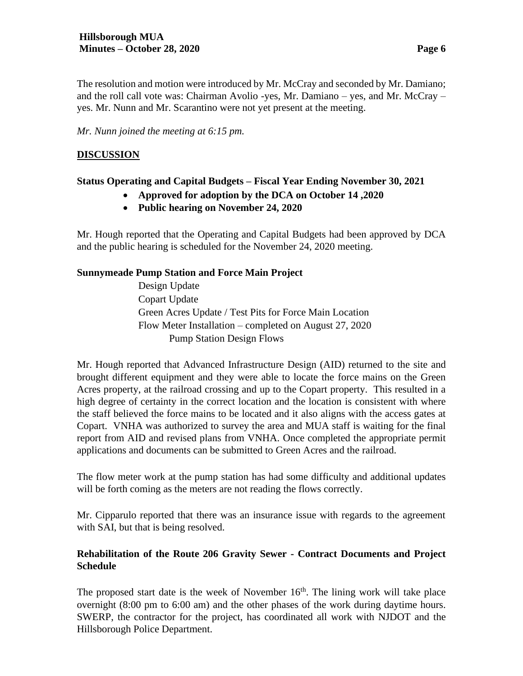The resolution and motion were introduced by Mr. McCray and seconded by Mr. Damiano; and the roll call vote was: Chairman Avolio -yes, Mr. Damiano – yes, and Mr. McCray – yes. Mr. Nunn and Mr. Scarantino were not yet present at the meeting.

*Mr. Nunn joined the meeting at 6:15 pm.*

### **DISCUSSION**

# **Status Operating and Capital Budgets – Fiscal Year Ending November 30, 2021**

- **Approved for adoption by the DCA on October 14 ,2020**
- **Public hearing on November 24, 2020**

Mr. Hough reported that the Operating and Capital Budgets had been approved by DCA and the public hearing is scheduled for the November 24, 2020 meeting.

# **Sunnymeade Pump Station and Force Main Project**

Design Update Copart Update Green Acres Update / Test Pits for Force Main Location Flow Meter Installation – completed on August 27, 2020 Pump Station Design Flows

Mr. Hough reported that Advanced Infrastructure Design (AID) returned to the site and brought different equipment and they were able to locate the force mains on the Green Acres property, at the railroad crossing and up to the Copart property. This resulted in a high degree of certainty in the correct location and the location is consistent with where the staff believed the force mains to be located and it also aligns with the access gates at Copart. VNHA was authorized to survey the area and MUA staff is waiting for the final report from AID and revised plans from VNHA. Once completed the appropriate permit applications and documents can be submitted to Green Acres and the railroad.

The flow meter work at the pump station has had some difficulty and additional updates will be forth coming as the meters are not reading the flows correctly.

Mr. Cipparulo reported that there was an insurance issue with regards to the agreement with SAI, but that is being resolved.

# **Rehabilitation of the Route 206 Gravity Sewer - Contract Documents and Project Schedule**

The proposed start date is the week of November  $16<sup>th</sup>$ . The lining work will take place overnight (8:00 pm to 6:00 am) and the other phases of the work during daytime hours. SWERP, the contractor for the project, has coordinated all work with NJDOT and the Hillsborough Police Department.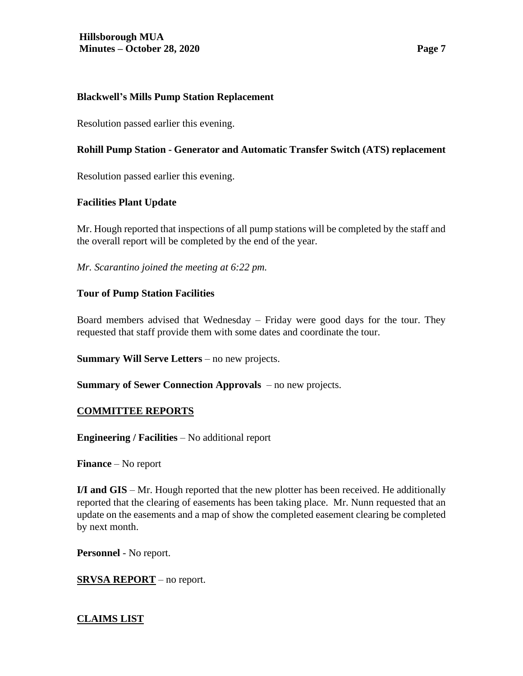### **Blackwell's Mills Pump Station Replacement**

Resolution passed earlier this evening.

### **Rohill Pump Station - Generator and Automatic Transfer Switch (ATS) replacement**

Resolution passed earlier this evening.

### **Facilities Plant Update**

Mr. Hough reported that inspections of all pump stations will be completed by the staff and the overall report will be completed by the end of the year.

*Mr. Scarantino joined the meeting at 6:22 pm.*

# **Tour of Pump Station Facilities**

Board members advised that Wednesday – Friday were good days for the tour. They requested that staff provide them with some dates and coordinate the tour.

**Summary Will Serve Letters** – no new projects.

**Summary of Sewer Connection Approvals** – no new projects.

### **COMMITTEE REPORTS**

**Engineering / Facilities** – No additional report

**Finance** – No report

**I/I and GIS** – Mr. Hough reported that the new plotter has been received. He additionally reported that the clearing of easements has been taking place. Mr. Nunn requested that an update on the easements and a map of show the completed easement clearing be completed by next month.

**Personnel** - No report.

### **SRVSA REPORT** – no report.

### **CLAIMS LIST**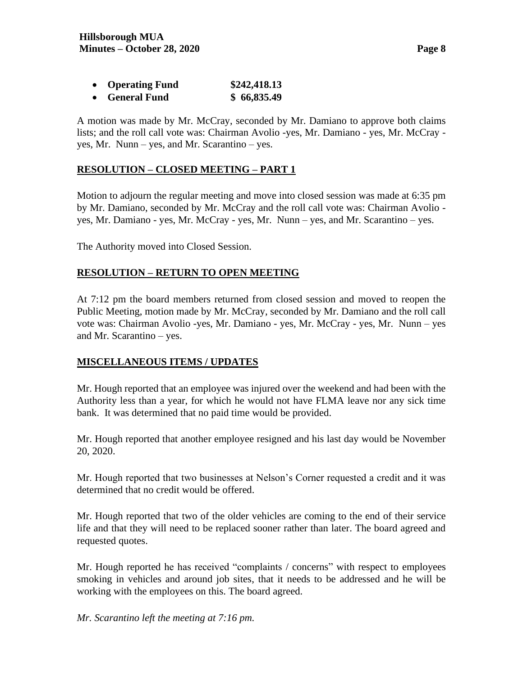| <b>Operating Fund</b>            | \$242,418.13           |
|----------------------------------|------------------------|
| $\Gamma$ <sub>onovo</sub> l Eund | $\triangle$ 66 Q 25 10 |

• **General Fund \$ 66,835.49** 

A motion was made by Mr. McCray, seconded by Mr. Damiano to approve both claims lists; and the roll call vote was: Chairman Avolio -yes, Mr. Damiano - yes, Mr. McCray yes, Mr. Nunn – yes, and Mr. Scarantino – yes.

#### **RESOLUTION – CLOSED MEETING – PART 1**

Motion to adjourn the regular meeting and move into closed session was made at 6:35 pm by Mr. Damiano, seconded by Mr. McCray and the roll call vote was: Chairman Avolio yes, Mr. Damiano - yes, Mr. McCray - yes, Mr. Nunn – yes, and Mr. Scarantino – yes.

The Authority moved into Closed Session.

### **RESOLUTION – RETURN TO OPEN MEETING**

At 7:12 pm the board members returned from closed session and moved to reopen the Public Meeting, motion made by Mr. McCray, seconded by Mr. Damiano and the roll call vote was: Chairman Avolio -yes, Mr. Damiano - yes, Mr. McCray - yes, Mr. Nunn – yes and Mr. Scarantino – yes.

### **MISCELLANEOUS ITEMS / UPDATES**

Mr. Hough reported that an employee was injured over the weekend and had been with the Authority less than a year, for which he would not have FLMA leave nor any sick time bank. It was determined that no paid time would be provided.

Mr. Hough reported that another employee resigned and his last day would be November 20, 2020.

Mr. Hough reported that two businesses at Nelson's Corner requested a credit and it was determined that no credit would be offered.

Mr. Hough reported that two of the older vehicles are coming to the end of their service life and that they will need to be replaced sooner rather than later. The board agreed and requested quotes.

Mr. Hough reported he has received "complaints / concerns" with respect to employees smoking in vehicles and around job sites, that it needs to be addressed and he will be working with the employees on this. The board agreed.

*Mr. Scarantino left the meeting at 7:16 pm.*